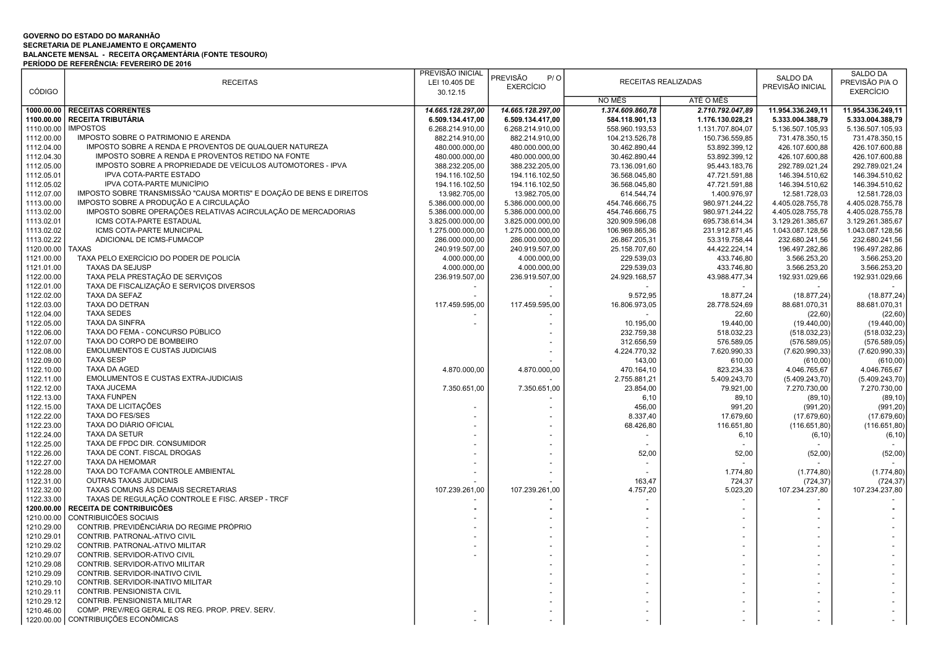## GOVERNO DO ESTADO DO MARANHÃO SECRETARIA DE PLANEJAMENTO E ORÇAMENTO BALANCETE MENSAL - RECEITA ORÇAMENTÁRIA (FONTE TESOURO) PERÍODO DE REFERÊNCIA: FEVEREIRO DE 2016

|               |                                                                      | PREVISÃO INICIAL  |                                              |                  |                            | <b>SALDO DA</b>   | <b>SALDO DA</b>   |
|---------------|----------------------------------------------------------------------|-------------------|----------------------------------------------|------------------|----------------------------|-------------------|-------------------|
|               | <b>RECEITAS</b>                                                      | LEI 10.405 DE     | <b>PREVISÃO</b><br>P / O<br><b>EXERCÍCIO</b> |                  | <b>RECEITAS REALIZADAS</b> | PREVISÃO INICIAL  | PREVISÃO P/A O    |
| <b>CÓDIGO</b> |                                                                      | 30.12.15          |                                              |                  |                            |                   | <b>EXERCÍCIO</b>  |
|               |                                                                      |                   |                                              | NO MÊS           | ATÉ O MÊS                  |                   |                   |
| 1000.00.00    | <b>RECEITAS CORRENTES</b>                                            | 14.665.128.297,00 | 14.665.128.297,00                            | 1.374.609.860,78 | 2.710.792.047,89           | 11.954.336.249,11 | 11.954.336.249,11 |
| 1100.00.00    | <b>RECEITA TRIBUTÁRIA</b>                                            | 6.509.134.417,00  | 6.509.134.417,00                             | 584.118.901,13   | 1.176.130.028,21           | 5.333.004.388,79  | 5.333.004.388,79  |
| 1110.00.00    | <b>IMPOSTOS</b>                                                      | 6.268.214.910,00  | 6.268.214.910,00                             | 558.960.193,53   | 1.131.707.804,07           | 5.136.507.105,93  | 5.136.507.105,93  |
| 1112.00.00    | IMPOSTO SOBRE O PATRIMONIO E ARENDA                                  | 882.214.910,00    | 882.214.910,00                               | 104.213.526,78   | 150.736.559,85             | 731.478.350,15    | 731.478.350,15    |
| 1112.04.00    | IMPOSTO SOBRE A RENDA E PROVENTOS DE QUALQUER NATUREZA               | 480.000.000,00    | 480.000.000,00                               | 30.462.890,44    | 53.892.399,12              | 426.107.600,88    | 426.107.600,88    |
| 1112.04.30    | IMPOSTO SOBRE A RENDA E PROVENTOS RETIDO NA FONTE                    | 480.000.000,00    | 480.000.000,00                               | 30.462.890,44    | 53.892.399,12              | 426.107.600,88    | 426.107.600,88    |
| 1112.05.00    | IMPOSTO SOBRE A PROPRIEDADE DE VEÍCULOS AUTOMOTORES - IPVA           | 388.232.205,00    | 388.232.205,00                               | 73.136.091,60    | 95.443.183,76              | 292.789.021,24    | 292.789.021,24    |
|               | <b>IPVA COTA-PARTE ESTADO</b>                                        |                   |                                              |                  |                            |                   |                   |
| 1112.05.01    |                                                                      | 194.116.102,50    | 194.116.102,50                               | 36.568.045,80    | 47.721.591,88              | 146.394.510,62    | 146.394.510,62    |
| 1112.05.02    | IPVA COTA-PARTE MUNICÍPIO                                            | 194.116.102,50    | 194.116.102,50                               | 36.568.045,80    | 47.721.591,88              | 146.394.510,62    | 146.394.510,62    |
| 1112.07.00    | IMPOSTO SOBRE TRANSMISSÃO "CAUSA MORTIS" E DOAÇÃO DE BENS E DIREITOS | 13.982.705,00     | 13.982.705,00                                | 614.544,74       | 1.400.976,97               | 12.581.728,03     | 12.581.728,03     |
| 1113.00.00    | IMPOSTO SOBRE A PRODUÇÃO E A CIRCULAÇÃO                              | 5.386.000.000,00  | 5.386.000.000,00                             | 454.746.666,75   | 980.971.244,22             | 4.405.028.755,78  | 4.405.028.755,78  |
| 1113.02.00    | IMPOSTO SOBRE OPERAÇÕES RELATIVAS ACIRCULAÇÃO DE MERCADORIAS         | 5.386.000.000,00  | 5.386.000.000,00                             | 454.746.666,75   | 980.971.244,22             | 4.405.028.755,78  | 4.405.028.755,78  |
| 1113.02.01    | ICMS COTA-PARTE ESTADUAL                                             | 3.825.000.000,00  | 3.825.000.000,00                             | 320.909.596,08   | 695.738.614,34             | 3.129.261.385,67  | 3.129.261.385,67  |
| 1113.02.02    | ICMS COTA-PARTE MUNICIPAL                                            | 1.275.000.000,00  | 1.275.000.000,00                             | 106.969.865,36   | 231.912.871,45             | 1.043.087.128,56  | 1.043.087.128,56  |
| 1113.02.22    | ADICIONAL DE ICMS-FUMACOP                                            | 286.000.000,00    | 286.000.000,00                               | 26.867.205,31    | 53.319.758,44              | 232.680.241,56    | 232.680.241,56    |
| 1120.00.00    | <b>TAXAS</b>                                                         | 240.919.507,00    | 240.919.507,00                               | 25.158.707,60    | 44.422.224,14              | 196.497.282,86    | 196.497.282,86    |
| 1121.00.00    | TAXA PELO EXERCÍCIO DO PODER DE POLICÍA                              | 4.000.000,00      | 4.000.000,00                                 | 229.539,03       | 433.746,80                 | 3.566.253,20      | 3.566.253,20      |
| 1121.01.00    | <b>TAXAS DA SEJUSP</b>                                               | 4.000.000,00      | 4.000.000,00                                 | 229.539,03       | 433.746.80                 | 3.566.253.20      | 3.566.253,20      |
| 1122.00.00    | TAXA PELA PRESTAÇÃO DE SERVIÇOS                                      | 236.919.507,00    | 236.919.507,00                               | 24.929.168,57    | 43.988.477,34              | 192.931.029,66    | 192.931.029,66    |
| 1122.01.00    | TAXA DE FISCALIZAÇÃO E SERVIÇOS DIVERSOS                             |                   |                                              |                  |                            |                   |                   |
| 1122.02.00    | TAXA DA SEFAZ                                                        |                   |                                              | 9.572,95         | 18.877,24                  | (18.877, 24)      | (18.877, 24)      |
| 1122.03.00    | TAXA DO DETRAN                                                       | 117.459.595,00    | 117.459.595,00                               | 16.806.973,05    | 28.778.524,69              | 88.681.070,31     | 88.681.070,31     |
| 1122.04.00    | <b>TAXA SEDES</b>                                                    |                   |                                              |                  | 22,60                      | (22, 60)          | (22, 60)          |
| 1122.05.00    | <b>TAXA DA SINFRA</b>                                                |                   |                                              | 10.195,00        | 19.440,00                  | (19.440,00)       | (19.440,00)       |
| 1122.06.00    | TAXA DO FEMA - CONCURSO PÚBLICO                                      |                   |                                              | 232.759,38       | 518.032,23                 | (518.032, 23)     | (518.032,23)      |
|               | TAXA DO CORPO DE BOMBEIRO                                            |                   |                                              |                  |                            |                   |                   |
| 1122.07.00    |                                                                      |                   |                                              | 312.656,59       | 576.589,05                 | (576.589, 05)     | (576.589,05)      |
| 1122.08.00    | <b>EMOLUMENTOS E CUSTAS JUDICIAIS</b>                                |                   |                                              | 4.224.770,32     | 7.620.990,33               | (7.620.990, 33)   | (7.620.990, 33)   |
| 1122.09.00    | <b>TAXA SESP</b>                                                     |                   |                                              | 143,00           | 610,00                     | (610, 00)         | (610,00)          |
| 1122.10.00    | <b>TAXA DA AGED</b>                                                  | 4.870.000,00      | 4.870.000,00                                 | 470.164,10       | 823.234,33                 | 4.046.765,67      | 4.046.765,67      |
| 1122.11.00    | EMOLUMENTOS E CUSTAS EXTRA-JUDICIAIS                                 |                   |                                              | 2.755.881,21     | 5.409.243,70               | (5.409.243, 70)   | (5.409.243,70)    |
| 1122.12.00    | TAXA JUCEMA                                                          | 7.350.651,00      | 7.350.651,00                                 | 23.854,00        | 79.921,00                  | 7.270.730,00      | 7.270.730,00      |
| 1122.13.00    | <b>TAXA FUNPEN</b>                                                   |                   |                                              | 6,10             | 89,10                      | (89, 10)          | (89, 10)          |
| 1122.15.00    | TAXA DE LICITAÇÕES                                                   |                   |                                              | 456,00           | 991,20                     | (991, 20)         | (991, 20)         |
| 1122.22.00    | <b>TAXA DO FES/SES</b>                                               |                   |                                              | 8.337,40         | 17.679,60                  | (17.679, 60)      | (17.679, 60)      |
| 1122.23.00    | TAXA DO DIÁRIO OFICIAL                                               |                   |                                              | 68.426,80        | 116.651,80                 | (116.651,80)      | (116.651,80)      |
| 1122.24.00    | <b>TAXA DA SETUR</b>                                                 |                   |                                              |                  | 6,10                       | (6, 10)           | (6, 10)           |
| 1122.25.00    | TAXA DE FPDC DIR. CONSUMIDOR                                         |                   |                                              |                  |                            |                   |                   |
| 1122.26.00    | TAXA DE CONT. FISCAL DROGAS                                          |                   |                                              | 52,00            | 52,00                      | (52,00)           | (52,00)           |
| 1122.27.00    | <b>TAXA DA HEMOMAR</b>                                               |                   |                                              |                  |                            |                   |                   |
| 1122.28.00    | TAXA DO TCFA/MA CONTROLE AMBIENTAL                                   |                   |                                              |                  | 1.774,80                   | (1.774, 80)       | (1.774, 80)       |
| 1122.31.00    | <b>OUTRAS TAXAS JUDICIAIS</b>                                        |                   |                                              | 163,47           | 724,37                     | (724, 37)         | (724, 37)         |
| 1122.32.00    | TAXAS COMUNS ÀS DEMAIS SECRETARIAS                                   | 107.239.261,00    | 107.239.261,00                               | 4.757,20         | 5.023,20                   | 107.234.237,80    | 107.234.237,80    |
| 1122.33.00    | TAXAS DE REGULAÇÃO CONTROLE E FISC. ARSEP - TRCF                     |                   |                                              |                  |                            |                   |                   |
|               | RECEITA DE CONTRIBUICÕES                                             |                   |                                              |                  |                            |                   |                   |
| 1200.00.00    |                                                                      |                   |                                              |                  |                            |                   |                   |
| 1210.00.00    | CONTRIBUICÕES SOCIAIS                                                |                   |                                              |                  |                            |                   |                   |
| 1210.29.00    | CONTRIB. PREVIDÊNCIÁRIA DO REGIME PRÓPRIO                            |                   |                                              |                  |                            |                   |                   |
| 1210.29.01    | CONTRIB, PATRONAL-ATIVO CIVIL                                        |                   |                                              |                  |                            |                   |                   |
| 1210.29.02    | CONTRIB. PATRONAL-ATIVO MILITAR                                      |                   |                                              |                  |                            |                   |                   |
| 1210.29.07    | CONTRIB. SERVIDOR-ATIVO CIVIL                                        |                   |                                              |                  |                            |                   |                   |
| 1210.29.08    | CONTRIB. SERVIDOR-ATIVO MILITAR                                      |                   |                                              |                  |                            |                   |                   |
| 1210.29.09    | CONTRIB. SERVIDOR-INATIVO CIVIL                                      |                   |                                              |                  |                            |                   |                   |
| 1210.29.10    | CONTRIB. SERVIDOR-INATIVO MILITAR                                    |                   |                                              |                  |                            |                   |                   |
| 1210.29.11    | CONTRIB. PENSIONISTA CIVIL                                           |                   |                                              |                  |                            |                   |                   |
| 1210.29.12    | CONTRIB. PENSIONISTA MILITAR                                         |                   |                                              |                  |                            |                   |                   |
| 1210.46.00    | COMP. PREV/REG GERAL E OS REG. PROP. PREV. SERV.                     |                   |                                              |                  |                            |                   |                   |
| 1220.00.00    | CONTRIBUIÇÕES ECONÔMICAS                                             |                   |                                              |                  |                            |                   |                   |
|               |                                                                      |                   |                                              |                  |                            |                   |                   |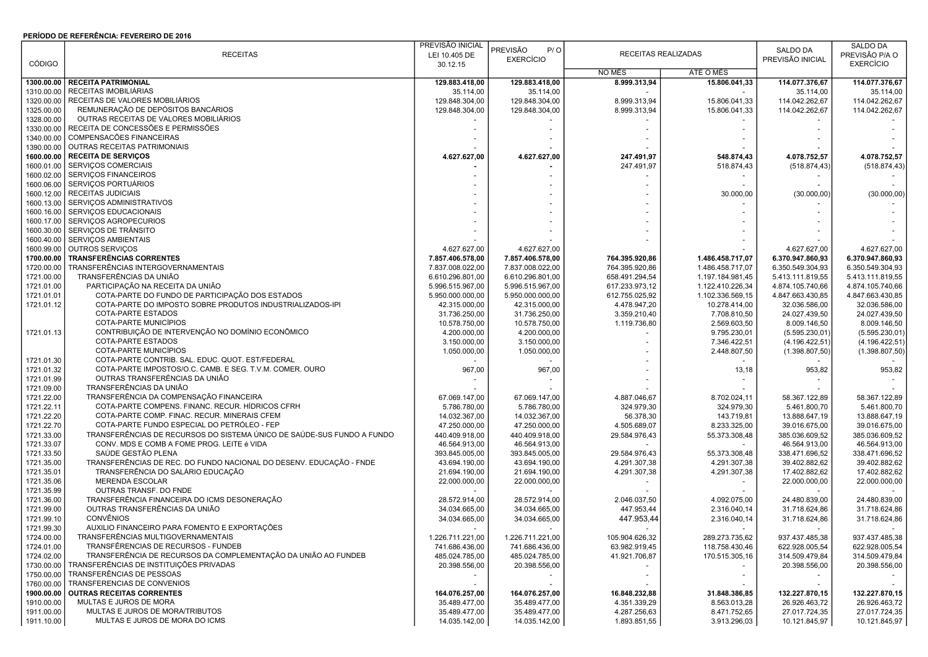## PERÍODO DE REFERÊNCIA: FEVEREIRO DE 2016

|               |                                                                        | PREVISÃO INICIAL |                          |                              |                  |                  | <b>SALDO DA</b>                |
|---------------|------------------------------------------------------------------------|------------------|--------------------------|------------------------------|------------------|------------------|--------------------------------|
|               | <b>RECEITAS</b>                                                        | LEI 10.405 DE    | <b>PREVISÃO</b><br>P / O | RECEITAS REALIZADAS          |                  | SALDO DA         | PREVISÃO P/A O                 |
| <b>CÓDIGO</b> |                                                                        | 30.12.15         | <b>EXERCÍCIO</b>         |                              |                  | PREVISÃO INICIAL | <b>EXERCÍCIO</b>               |
|               |                                                                        |                  |                          | NO MÊS                       | ATÉ O MÊS        |                  |                                |
| 1300.00.00    | <b>RECEITA PATRIMONIAL</b>                                             | 129.883.418,00   | 129.883.418,00           | 8.999.313,94                 | 15.806.041,33    | 114.077.376,67   | 114.077.376,67                 |
| 1310.00.00    | RECEITAS IMOBILIÁRIAS                                                  | 35.114,00        | 35.114,00                |                              |                  | 35.114,00        | 35.114,00                      |
| 1320.00.00    | RECEITAS DE VALORES MOBILIÁRIOS                                        | 129.848.304,00   | 129.848.304,00           | 8.999.313,94                 | 15.806.041,33    | 114.042.262.67   | 114.042.262,67                 |
| 1325.00.00    | REMUNERAÇÃO DE DEPÓSITOS BANCÁRIOS                                     | 129.848.304,00   | 129.848.304,00           | 8.999.313,94                 | 15.806.041,33    | 114.042.262,67   | 114.042.262,67                 |
| 1328.00.00    | OUTRAS RECEITAS DE VALORES MOBILIÁRIOS                                 |                  |                          |                              |                  |                  |                                |
| 1330.00.00    | RECEITA DE CONCESSÕES E PERMISSÕES                                     |                  |                          |                              |                  |                  |                                |
| 1340.00.00    | COMPENSACÕES FINANCEIRAS                                               |                  |                          |                              |                  |                  |                                |
| 1390.00.00    | OUTRAS RECEITAS PATRIMONIAIS                                           |                  |                          |                              |                  |                  |                                |
| 1600.00.00    | <b>RECEITA DE SERVICOS</b>                                             | 4.627.627,00     | 4.627.627,00             | 247.491,97                   | 548.874,43       | 4.078.752,57     | 4.078.752,57                   |
| 1600.01.00    | SERVIÇOS COMERCIAIS                                                    |                  |                          | 247.491,97                   | 518.874,43       | (518.874, 43)    | (518.874, 43)                  |
| 1600.02.00    | SERVIÇOS FINANCEIROS                                                   |                  |                          |                              |                  |                  |                                |
| 1600.06.00    | SERVIÇOS PORTUÁRIOS                                                    |                  |                          |                              |                  |                  |                                |
| 1600.12.00    | <b>RECEITAS JUDICIAIS</b>                                              |                  |                          |                              | 30.000,00        | (30.000, 00)     | (30.000, 00)                   |
| 1600.13.00    | SERVIÇOS ADMINISTRATIVOS                                               |                  |                          |                              |                  |                  |                                |
| 1600.16.00    | SERVIÇOS EDUCACIONAIS                                                  |                  |                          |                              |                  |                  |                                |
| 1600.17.00    | SERVIÇOS AGROPECURIOS                                                  |                  |                          |                              |                  |                  |                                |
|               | SERVIÇOS DE TRÂNSITO                                                   |                  |                          |                              |                  |                  |                                |
| 1600.30.00    |                                                                        |                  |                          |                              |                  |                  |                                |
| 1600.40.00    | <b>SERVIÇOS AMBIENTAIS</b>                                             |                  |                          |                              |                  |                  |                                |
| 1600.99.00    | OUTROS SERVIÇOS                                                        | 4.627.627,00     | 4.627.627,00             |                              |                  | 4.627.627,00     | 4.627.627,00                   |
| 1700.00.00    | TRANSFERÊNCIAS CORRENTES                                               | 7.857.406.578,00 | 7.857.406.578,00         | 764.395.920,86               | 1.486.458.717,07 | 6.370.947.860,93 | 6.370.947.860,93               |
| 1720.00.00    | TRANSFERÊNCIAS INTERGOVERNAMENTAIS                                     | 7.837.008.022,00 | 7.837.008.022,00         | 764.395.920,86               | 1.486.458.717,07 | 6.350.549.304,93 | 6.350.549.304,93               |
| 1721.00.00    | TRANSFERÊNCIAS DA UNIÃO                                                | 6.610.296.801,00 | 6.610.296.801,00         | 658.491.294,54               | 1.197.184.981,45 | 5.413.111.819,55 | 5.413.111.819,55               |
| 1721.01.00    | PARTICIPAÇÃO NA RECEITA DA UNIÃO                                       | 5.996.515.967,00 | 5.996.515.967,00         | 617.233.973,12               | 1.122.410.226,34 | 4.874.105.740,66 | 4.874.105.740,66               |
| 1721.01.01    | COTA-PARTE DO FUNDO DE PARTICIPAÇÃO DOS ESTADOS                        | 5.950.000.000,00 | 5.950.000.000,00         | 612.755.025,92               | 1.102.336.569,15 | 4.847.663.430,85 | 4.847.663.430,85               |
| 1721.01.12    | COTA-PARTE DO IMPOSTO SOBRE PRODUTOS INDUSTRIALIZADOS-IPI              | 42.315.000,00    | 42.315.000,00            | 4.478.947,20                 | 10.278.414,00    | 32.036.586,00    | 32.036.586,00                  |
|               | <b>COTA-PARTE ESTADOS</b>                                              | 31.736.250,00    | 31.736.250,00            | 3.359.210,40                 | 7.708.810,50     | 24.027.439,50    | 24.027.439,50                  |
|               | COTA-PARTE MUNICÍPIOS                                                  | 10.578.750,00    | 10.578.750,00            | 1.119.736,80                 | 2.569.603,50     | 8.009.146,50     | 8.009.146,50                   |
| 1721.01.13    | CONTRIBUIÇÃO DE INTERVENÇÃO NO DOMÍNIO ECONÔMICO                       | 4.200.000,00     | 4.200.000,00             |                              | 9.795.230,01     | (5.595.230.01)   | (5.595.230,01)                 |
|               | <b>COTA-PARTE ESTADOS</b>                                              | 3.150.000,00     | 3.150.000,00             |                              | 7.346.422,51     | (4.196.422, 51)  | (4.196.422, 51)                |
|               | COTA-PARTE MUNICÍPIOS                                                  | 1.050.000,00     | 1.050.000,00             |                              | 2.448.807,50     | (1.398.807, 50)  | (1.398.807, 50)                |
| 1721.01.30    | COTA-PARTE CONTRIB. SAL. EDUC. QUOT. EST/FEDERAL                       |                  |                          |                              |                  |                  |                                |
| 1721.01.32    | COTA-PARTE IMPOSTOS/O.C. CAMB. E SEG. T.V.M. COMER. OURO               | 967,00           | 967,00                   |                              | 13,18            | 953,82           | 953,82                         |
| 1721.01.99    | OUTRAS TRANSFERÊNCIAS DA UNIÃO                                         |                  |                          |                              |                  |                  |                                |
| 1721.09.00    | TRANSFERÊNCIAS DA UNIÃO                                                |                  |                          |                              |                  |                  |                                |
| 1721.22.00    | TRANSFERÊNCIA DA COMPENSAÇÃO FINANCEIRA                                | 67.069.147,00    | 67.069.147,00            | 4.887.046,67                 | 8.702.024,11     | 58.367.122,89    | 58.367.122,89                  |
| 1721.22.11    | COTA-PARTE COMPENS. FINANC. RECUR. HÍDRICOS CFRH                       | 5.786.780,00     | 5.786.780,00             | 324.979,30                   | 324.979,30       | 5.461.800,70     | 5.461.800,70                   |
| 1721.22.20    | COTA-PARTE COMP. FINAC. RECUR. MINERAIS CFEM                           | 14.032.367,00    | 14.032.367,00            | 56.378,30                    | 143.719,81       | 13.888.647,19    | 13.888.647,19                  |
| 1721.22.70    | COTA-PARTE FUNDO ESPECIAL DO PETRÓLEO - FEP                            | 47.250.000,00    | 47.250.000,00            | 4.505.689,07                 | 8.233.325,00     | 39.016.675,00    | 39.016.675,00                  |
| 1721.33.00    | TRANSFERÊNCIAS DE RECURSOS DO SISTEMA ÚNICO DE SAÚDE-SUS FUNDO A FUNDO | 440.409.918,00   | 440.409.918,00           | 29.584.976,43                | 55.373.308,48    | 385.036.609,52   | 385.036.609,52                 |
| 1721.33.07    | CONV. MDS E COMB A FOME PROG. LEITE é VIDA                             | 46.564.913,00    | 46.564.913,00            |                              |                  | 46.564.913,00    | 46.564.913,00                  |
| 1721.33.50    | SAÚDE GESTÃO PLENA                                                     | 393.845.005,00   | 393.845.005,00           | 29.584.976,43                | 55.373.308,48    | 338.471.696,52   | 338.471.696,52                 |
| 1721.35.00    | TRANSFERÊNCIAS DE REC. DO FUNDO NACIONAL DO DESENV. EDUCAÇÃO - FNDE    | 43.694.190,00    | 43.694.190,00            | 4.291.307,38                 | 4.291.307,38     | 39.402.882,62    | 39.402.882,62                  |
| 1721.35.01    | TRANSFERÊNCIA DO SALÁRIO EDUCAÇÃO                                      | 21.694.190,00    | 21.694.190,00            | 4.291.307,38                 | 4.291.307,38     | 17.402.882,62    | 17.402.882,62                  |
| 1721.35.06    | <b>MERENDA ESCOLAR</b>                                                 | 22.000.000,00    | 22.000.000,00            |                              |                  | 22.000.000,00    | 22.000.000,00                  |
| 1721.35.99    | OUTRAS TRANSF. DO FNDE                                                 |                  |                          |                              |                  |                  |                                |
| 1721.36.00    | TRANSFERÊNCIA FINANCEIRA DO ICMS DESONERAÇÃO                           | 28.572.914,00    | 28.572.914,00            | 2.046.037,50                 | 4.092.075,00     | 24.480.839,00    | 24.480.839,00                  |
| 1721.99.00    | OUTRAS TRANSFERÊNCIAS DA UNIÃO                                         | 34.034.665,00    | 34.034.665,00            | 447.953,44                   | 2.316.040,14     | 31.718.624,86    | 31.718.624,86                  |
| 1721.99.10    | <b>CONVÊNIOS</b>                                                       | 34.034.665,00    | 34.034.665.00            | 447.953,44                   | 2.316.040,14     | 31.718.624,86    | 31.718.624,86                  |
| 1721.99.30    | AUXILIO FINANCEIRO PARA FOMENTO E EXPORTAÇÕES                          |                  |                          |                              |                  |                  |                                |
| 1724.00.00    | TRANSFERENCIAS MULTIGOVERNAMENTAIS                                     | 1.226.711.221,00 | 1.226.711.221,00         | 105.904.626,32               | 289.273.735,62   | 937.437.485,38   | 937.437.485,38                 |
| 1724.01.00    | TRANSFÊRENCIAS DE RECURSOS - FUNDEB                                    | 741.686.436,00   | 741.686.436,00           | 63.982.919,45                | 118.758.430,46   | 622.928.005,54   | 622.928.005,54                 |
| 1724.02.00    | TRANSFERÊNCIA DE RECURSOS DA COMPLEMENTAÇÃO DA UNIÃO AO FUNDEB         | 485.024.785,00   | 485.024.785,00           | 41.921.706,87                | 170.515.305,16   | 314.509.479,84   | 314.509.479,84                 |
| 1730.00.00    | TRANSFERÊNCIAS DE INSTITUICÕES PRIVADAS                                | 20.398.556,00    | 20.398.556,00            |                              | $\sim$           | 20.398.556,00    | 20.398.556,00                  |
| 1750.00.00    | TRANSFERÊNCIAS DE PESSOAS                                              |                  |                          |                              | $\sim$           |                  |                                |
| 1760.00.00    | TRANSFERENCIAS DE CONVENIOS                                            | $\sim$           |                          |                              |                  | $\sim$           |                                |
| 1900.00.00    | <b>OUTRAS RECEITAS CORRENTES</b>                                       | 164.076.257,00   | 164.076.257,00           | 16.848.232,88                | 31.848.386,85    | 132.227.870,15   | 132.227.870.15                 |
|               | MULTAS E JUROS DE MORA                                                 |                  | 35.489.477,00            |                              | 8.563.013,28     | 26.926.463,72    | 26.926.463,72                  |
| 1910.00.00    | MULTAS E JUROS DE MORA/TRIBUTOS                                        | 35.489.477,00    |                          | 4.351.339,29<br>4.287.256,63 |                  |                  |                                |
| 1911.00.00    | MULTAS E JUROS DE MORA DO ICMS                                         | 35.489.477,00    | 35.489.477,00            |                              | 8.471.752,65     | 27.017.724,35    | 27.017.724,35<br>10.121.845,97 |
| 1911.10.00    |                                                                        | 14.035.142,00    | 14.035.142,00            | 1.893.851,55                 | 3.913.296,03     | 10.121.845,97    |                                |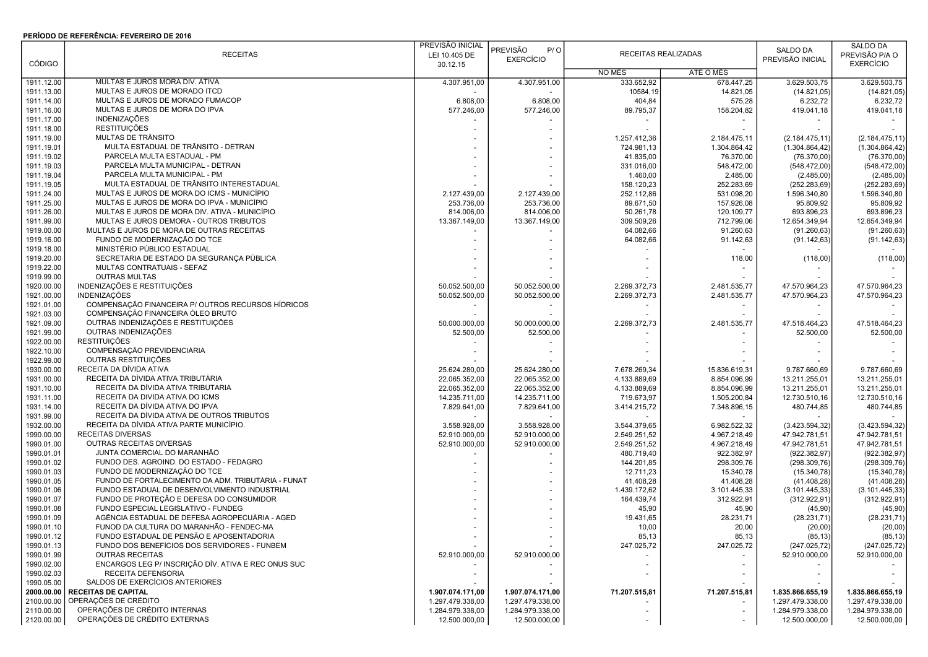## PERÍODO DE REFERÊNCIA: FEVEREIRO DE 2016

|               |                                                     | PREVISÃO INICIAL |                        |                     |               |                  | SALDO DA         |
|---------------|-----------------------------------------------------|------------------|------------------------|---------------------|---------------|------------------|------------------|
|               | <b>RECEITAS</b>                                     | LEI 10.405 DE    | <b>PREVISÃO</b><br>P/O | RECEITAS REALIZADAS |               | SALDO DA         | PREVISÃO P/A O   |
| <b>CÓDIGO</b> |                                                     | 30.12.15         | <b>EXERCÍCIO</b>       |                     |               | PREVISÃO INICIAL | <b>EXERCÍCIO</b> |
|               |                                                     |                  |                        | NO MÊS              | ATÉ O MÊS     |                  |                  |
| 1911.12.00    | MULTAS E JUROS MORA DIV. ATIVA                      | 4.307.951,00     | 4.307.951,00           | 333.652,92          | 678.447.25    | 3.629.503,75     | 3.629.503,75     |
| 1911.13.00    | MULTAS E JUROS DE MORADO ITCD                       |                  |                        | 10584,19            | 14.821,05     | (14.821, 05)     | (14.821, 05)     |
| 1911.14.00    | MULTAS E JUROS DE MORADO FUMACOP                    | 6.808,00         | 6.808,00               | 404,84              | 575,28        | 6.232,72         | 6.232,72         |
| 1911.16.00    | MULTAS E JUROS DE MORA DO IPVA                      | 577.246,00       | 577.246,00             | 89.795,37           | 158.204,82    | 419.041,18       | 419.041,18       |
| 1911.17.00    | <b>INDENIZAÇÕES</b>                                 |                  |                        |                     |               |                  |                  |
| 1911.18.00    | <b>RESTITUIÇÕES</b>                                 |                  |                        |                     |               |                  |                  |
| 1911.19.00    | MULTAS DE TRÂNSITO                                  |                  |                        | 1.257.412,36        | 2.184.475,11  | (2.184.475, 11)  | (2.184.475, 11)  |
|               | MULTA ESTADUAL DE TRÂNSITO - DETRAN                 |                  |                        |                     |               |                  |                  |
| 1911.19.01    | PARCELA MULTA ESTADUAL - PM                         |                  |                        | 724.981,13          | 1.304.864,42  | (1.304.864, 42)  | (1.304.864, 42)  |
| 1911.19.02    |                                                     |                  |                        | 41.835,00           | 76.370,00     | (76.370,00)      | (76.370,00)      |
| 1911.19.03    | PARCELA MULTA MUNICIPAL - DETRAN                    |                  |                        | 331.016,00          | 548.472,00    | (548.472,00)     | (548.472,00)     |
| 1911.19.04    | PARCELA MULTA MUNICIPAL - PM                        |                  |                        | 1.460,00            | 2.485,00      | (2.485,00)       | (2.485,00)       |
| 1911.19.05    | MULTA ESTADUAL DE TRÂNSITO INTERESTADUAL            |                  |                        | 158.120,23          | 252.283,69    | (252.283, 69)    | (252.283, 69)    |
| 1911.24.00    | MULTAS E JUROS DE MORA DO ICMS - MUNICÍPIO          | 2.127.439,00     | 2.127.439,00           | 252.112,86          | 531.098,20    | 1.596.340,80     | 1.596.340,80     |
| 1911.25.00    | MULTAS E JUROS DE MORA DO IPVA - MUNICÍPIO          | 253.736,00       | 253.736,00             | 89.671,50           | 157.926,08    | 95.809,92        | 95.809,92        |
| 1911.26.00    | MULTAS E JUROS DE MORA DIV. ATIVA - MUNICÍPIO       | 814.006,00       | 814.006,00             | 50.261,78           | 120.109,77    | 693.896,23       | 693.896,23       |
| 1911.99.00    | MULTAS E JUROS DEMORA - OUTROS TRIBUTOS             | 13.367.149,00    | 13.367.149,00          | 309.509,26          | 712.799,06    | 12.654.349,94    | 12.654.349,94    |
| 1919.00.00    | MULTAS E JUROS DE MORA DE OUTRAS RECEITAS           |                  |                        | 64.082,66           | 91.260,63     | (91.260, 63)     | (91.260, 63)     |
| 1919.16.00    | FUNDO DE MODERNIZAÇÃO DO TCE                        |                  |                        | 64.082,66           | 91.142,63     | (91.142, 63)     | (91.142, 63)     |
| 1919.18.00    | MINISTÉRIO PÚBLICO ESTADUAL                         |                  |                        |                     |               |                  |                  |
| 1919.20.00    | SECRETARIA DE ESTADO DA SEGURANÇA PÚBLICA           |                  |                        |                     | 118,00        | (118,00)         | (118,00)         |
| 1919.22.00    | MULTAS CONTRATUAIS - SEFAZ                          |                  |                        |                     |               |                  |                  |
| 1919.99.00    | <b>OUTRAS MULTAS</b>                                |                  |                        |                     |               |                  |                  |
| 1920.00.00    | INDENIZAÇÕES E RESTITUIÇÕES                         | 50.052.500,00    | 50.052.500,00          | 2.269.372,73        | 2.481.535,77  | 47.570.964,23    | 47.570.964,23    |
| 1921.00.00    | <b>INDENIZAÇÕES</b>                                 | 50.052.500,00    | 50.052.500,00          | 2.269.372,73        | 2.481.535,77  | 47.570.964,23    | 47.570.964,23    |
|               | COMPENSAÇÃO FINANCEIRA P/ OUTROS RECURSOS HÍDRICOS  |                  |                        |                     |               |                  |                  |
| 1921.01.00    | COMPENSAÇÃO FINANCEIRA ÓLEO BRUTO                   |                  |                        |                     |               |                  |                  |
| 1921.03.00    |                                                     |                  |                        |                     |               |                  |                  |
| 1921.09.00    | OUTRAS INDENIZAÇÕES E RESTITUIÇÕES                  | 50.000.000.00    | 50.000.000,00          | 2.269.372,73        | 2.481.535,77  | 47.518.464,23    | 47.518.464,23    |
| 1921.99.00    | OUTRAS INDENIZAÇÕES                                 | 52.500,00        | 52.500,00              |                     |               | 52.500,00        | 52.500,00        |
| 1922.00.00    | <b>RESTITUIÇÕES</b>                                 |                  |                        |                     |               |                  |                  |
| 1922.10.00    | COMPENSAÇÃO PREVIDENCIÁRIA                          |                  |                        |                     |               |                  |                  |
| 1922.99.00    | OUTRAS RESTITUIÇÕES                                 |                  |                        |                     |               |                  |                  |
| 1930.00.00    | RECEITA DA DÍVIDA ATIVA                             | 25.624.280,00    | 25.624.280,00          | 7.678.269,34        | 15.836.619,31 | 9.787.660,69     | 9.787.660,69     |
| 1931.00.00    | RECEITA DA DÍVIDA ATIVA TRIBUTÁRIA                  | 22.065.352,00    | 22.065.352,00          | 4.133.889,69        | 8.854.096,99  | 13.211.255,01    | 13.211.255,01    |
| 1931.10.00    | RECEITA DA DÍVIDA ATIVA TRIBUTARIA                  | 22.065.352,00    | 22.065.352,00          | 4.133.889,69        | 8.854.096,99  | 13.211.255,01    | 13.211.255,01    |
| 1931.11.00    | RECEITA DA DIVIDA ATIVA DO ICMS                     | 14.235.711,00    | 14.235.711,00          | 719.673,97          | 1.505.200,84  | 12.730.510,16    | 12.730.510,16    |
| 1931.14.00    | RECEITA DA DÍVIDA ATIVA DO IPVA                     | 7.829.641,00     | 7.829.641,00           | 3.414.215,72        | 7.348.896,15  | 480.744,85       | 480.744,85       |
| 1931.99.00    | RECEITA DA DÍVIDA ATIVA DE OUTROS TRIBUTOS          |                  |                        |                     |               |                  |                  |
| 1932.00.00    | RECEITA DA DÍVIDA ATIVA PARTE MUNICÍPIO.            | 3.558.928,00     | 3.558.928,00           | 3.544.379,65        | 6.982.522,32  | (3.423.594, 32)  | (3.423.594, 32)  |
| 1990.00.00    | <b>RECEITAS DIVERSAS</b>                            | 52.910.000,00    | 52.910.000,00          | 2.549.251,52        | 4.967.218,49  | 47.942.781,51    | 47.942.781,51    |
| 1990.01.00    | OUTRAS RECEITAS DIVERSAS                            | 52.910.000,00    | 52.910.000,00          | 2.549.251,52        | 4.967.218,49  | 47.942.781,51    | 47.942.781,51    |
| 1990.01.01    | JUNTA COMERCIAL DO MARANHÃO                         |                  |                        | 480.719,40          | 922.382,97    | (922.382, 97)    | (922.382, 97)    |
| 1990.01.02    | FUNDO DES. AGROIND. DO ESTADO - FEDAGRO             |                  |                        | 144.201,85          | 298.309,76    | (298.309,76)     | (298.309,76)     |
| 1990.01.03    | FUNDO DE MODERNIZAÇÃO DO TCE                        |                  |                        | 12.711,23           | 15.340,78     | (15.340,78)      | (15.340,78)      |
| 1990.01.05    | FUNDO DE FORTALECIMENTO DA ADM. TRIBUTÁRIA - FUNAT  |                  |                        | 41.408,28           | 41.408,28     | (41.408,28)      | (41.408,28)      |
| 1990.01.06    | FUNDO ESTADUAL DE DESENVOLVIMENTO INDUSTRIAL        |                  |                        | 1.439.172,62        | 3.101.445,33  | (3.101.445, 33)  | (3.101.445, 33)  |
|               |                                                     |                  |                        |                     |               |                  |                  |
| 1990.01.07    | FUNDO DE PROTEÇÃO E DEFESA DO CONSUMIDOR            |                  |                        | 164.439,74          | 312.922,91    | (312.922, 91)    | (312.922, 91)    |
| 1990.01.08    | FUNDO ESPECIAL LEGISLATIVO - FUNDEG                 |                  |                        | 45,90               | 45,90         | (45, 90)         | (45, 90)         |
| 1990.01.09    | AGÊNCIA ESTADUAL DE DEFESA AGROPECUÁRIA - AGED      |                  |                        | 19.431,65           | 28.231,71     | (28.231, 71)     | (28.231,71)      |
| 1990.01.10    | FUNOD DA CULTURA DO MARANHÃO - FENDEC-MA            |                  |                        | 10,00               | 20,00         | (20,00)          | (20,00)          |
| 1990.01.12    | FUNDO ESTADUAL DE PENSÃO E APOSENTADORIA            |                  |                        | 85,13               | 85,13         | (85, 13)         | (85, 13)         |
| 1990.01.13    | FUNDO DOS BENEFÍCIOS DOS SERVIDORES - FUNBEM        |                  |                        | 247.025,72          | 247.025,72    | (247.025, 72)    | (247.025, 72)    |
| 1990.01.99    | <b>OUTRAS RECEITAS</b>                              | 52.910.000,00    | 52.910.000,00          |                     |               | 52.910.000,00    | 52.910.000,00    |
| 1990.02.00    | ENCARGOS LEG P/ INSCRIÇÃO DÍV. ATIVA E REC ONUS SUC |                  |                        |                     |               |                  |                  |
| 1990.02.03    | RECEITA DEFENSORIA                                  |                  |                        |                     |               |                  |                  |
| 1990.05.00    | SALDOS DE EXERCÍCIOS ANTERIORES                     |                  |                        |                     |               |                  |                  |
| 2000.00.00    | <b>RECEITAS DE CAPITAL</b>                          | 1.907.074.171,00 | 1.907.074.171,00       | 71.207.515,81       | 71.207.515,81 | 1.835.866.655,19 | 1.835.866.655,19 |
| 2100.00.00    | OPERAÇÕES DE CRÉDITO                                | 1.297.479.338,00 | 1.297.479.338,00       |                     |               | 1.297.479.338,00 | 1.297.479.338,00 |
| 2110.00.00    | OPERAÇÕES DE CRÉDITO INTERNAS                       | 1.284.979.338,00 | 1.284.979.338,00       |                     |               | 1.284.979.338,00 | 1.284.979.338,00 |
| 2120.00.00    | OPERAÇÕES DE CRÉDITO EXTERNAS                       | 12.500.000,00    | 12.500.000,00          |                     |               | 12.500.000,00    | 12.500.000,00    |